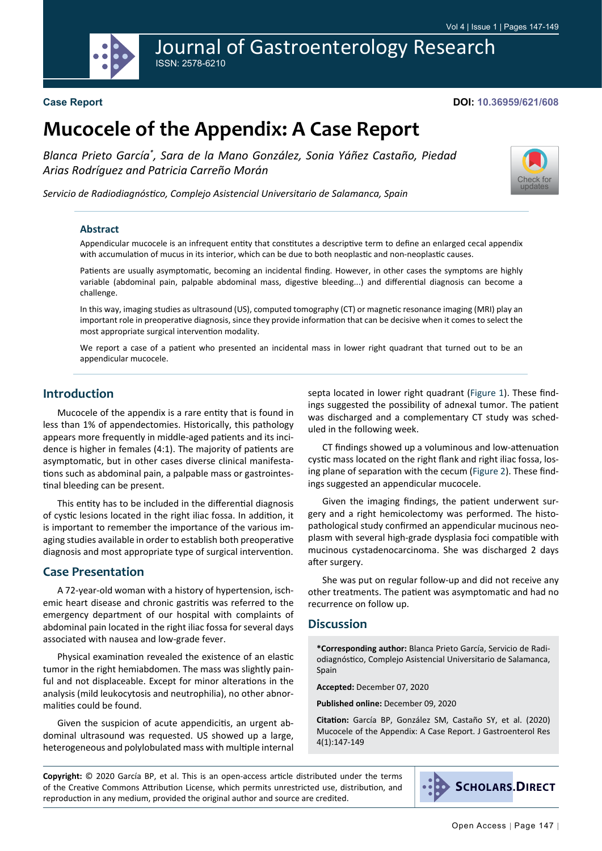

Journal of Gastroenterology Research

### **Case Report**

#### **DOI: 10.36959/621/608**

[Check for](http://crossmark.crossref.org/dialog/?doi=10.36959/621/608&domain=pdf) updates

# **Mucocele of the Appendix: A Case Report**

*Blanca Prieto García\* , Sara de la Mano González, Sonia Yáñez Castaño, Piedad Arias Rodríguez and Patricia Carreño Morán*

*Servicio de Radiodiagnóstico, Complejo Asistencial Universitario de Salamanca, Spain*

#### **Abstract**

Appendicular mucocele is an infrequent entity that constitutes a descriptive term to define an enlarged cecal appendix with accumulation of mucus in its interior, which can be due to both neoplastic and non-neoplastic causes.

Patients are usually asymptomatic, becoming an incidental finding. However, in other cases the symptoms are highly variable (abdominal pain, palpable abdominal mass, digestive bleeding...) and differential diagnosis can become a challenge.

In this way, imaging studies as ultrasound (US), computed tomography (CT) or magnetic resonance imaging (MRI) play an important role in preoperative diagnosis, since they provide information that can be decisive when it comes to select the most appropriate surgical intervention modality.

We report a case of a patient who presented an incidental mass in lower right quadrant that turned out to be an appendicular mucocele.

# **Introduction**

Mucocele of the appendix is a rare entity that is found in less than 1% of appendectomies. Historically, this pathology appears more frequently in middle-aged patients and its incidence is higher in females (4:1). The majority of patients are asymptomatic, but in other cases diverse clinical manifestations such as abdominal pain, a palpable mass or gastrointestinal bleeding can be present.

This entity has to be included in the differential diagnosis of cystic lesions located in the right iliac fossa. In addition, it is important to remember the importance of the various imaging studies available in order to establish both preoperative diagnosis and most appropriate type of surgical intervention.

# **Case Presentation**

A 72-year-old woman with a history of hypertension, ischemic heart disease and chronic gastritis was referred to the emergency department of our hospital with complaints of abdominal pain located in the right iliac fossa for several days associated with nausea and low-grade fever.

Physical examination revealed the existence of an elastic tumor in the right hemiabdomen. The mass was slightly painful and not displaceable. Except for minor alterations in the analysis (mild leukocytosis and neutrophilia), no other abnormalities could be found.

Given the suspicion of acute appendicitis, an urgent abdominal ultrasound was requested. US showed up a large, heterogeneous and polylobulated mass with multiple internal septa located in lower right quadrant [\(Figure 1](#page-1-0)). These findings suggested the possibility of adnexal tumor. The patient was discharged and a complementary CT study was scheduled in the following week.

CT findings showed up a voluminous and low-attenuation cystic mass located on the right flank and right iliac fossa, losing plane of separation with the cecum ([Figure 2](#page-1-1)). These findings suggested an appendicular mucocele.

Given the imaging findings, the patient underwent surgery and a right hemicolectomy was performed. The histopathological study confirmed an appendicular mucinous neoplasm with several high-grade dysplasia foci compatible with mucinous cystadenocarcinoma. She was discharged 2 days after surgery.

She was put on regular follow-up and did not receive any other treatments. The patient was asymptomatic and had no recurrence on follow up.

# **Discussion**

**\*Corresponding author:** Blanca Prieto García, Servicio de Radiodiagnóstico, Complejo Asistencial Universitario de Salamanca, Spain

**Accepted:** December 07, 2020

**Published online:** December 09, 2020

**Citation:** García BP, González SM, Castaño SY, et al. (2020) Mucocele of the Appendix: A Case Report. J Gastroenterol Res 4(1):147-149

**Copyright:** © 2020 García BP, et al. This is an open-access article distributed under the terms of the Creative Commons Attribution License, which permits unrestricted use, distribution, and reproduction in any medium, provided the original author and source are credited.

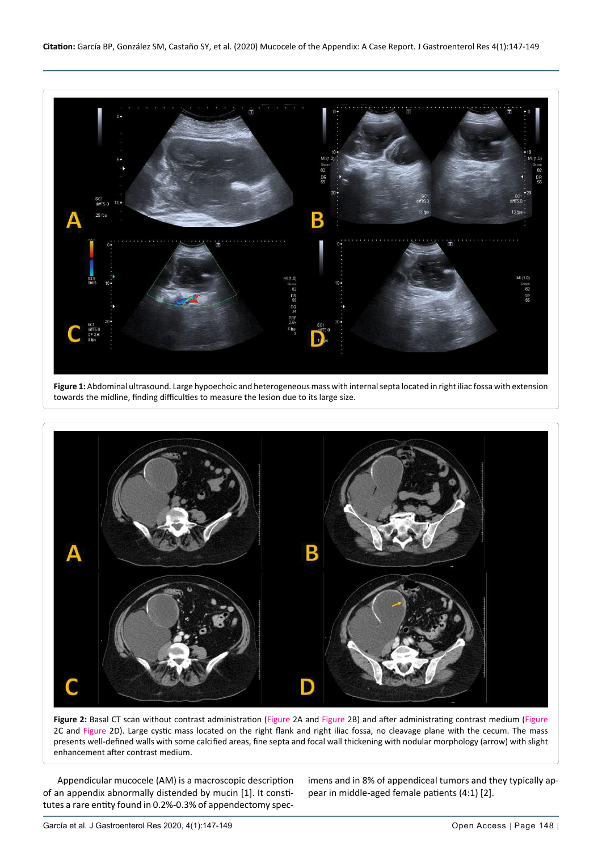<span id="page-1-0"></span>

**Figure 1:** Abdominal ultrasound. Large hypoechoic and heterogeneous mass with internal septa located in right iliac fossa with extension towards the midline, finding difficulties to measure the lesion due to its large size.

<span id="page-1-1"></span>

Figure 2: Basal CT scan without contrast administration (Figure 2A and Figure 2B) and after administrating contrast medium (Figure 2C and Figure 2D). Large cystic mass located on the right flank and right iliac fossa, no cleavage plane with the cecum. The mass presents well-defined walls with some calcified areas, fine septa and focal wall thickening with nodular morphology (arrow) with slight enhancement after contrast medium.

Appendicular mucocele (AM) is a macroscopic description of an appendix abnormally distended by mucin [1]. It constitutes a rare entity found in 0.2%-0.3% of appendectomy specimens and in 8% of appendiceal tumors and they typically appear in middle-aged female patients (4:1) [2].